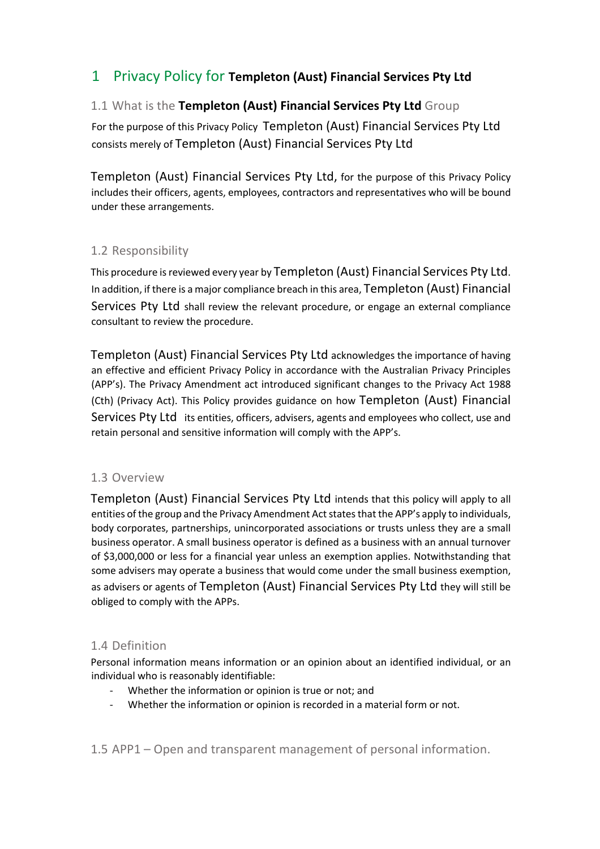# 1 Privacy Policy for **Templeton (Aust) Financial Services Pty Ltd**

# 1.1 What is the **Templeton (Aust) Financial Services Pty Ltd** Group

For the purpose of this Privacy Policy Templeton (Aust) Financial Services Pty Ltd consists merely of Templeton (Aust) Financial Services Pty Ltd

Templeton (Aust) Financial Services Pty Ltd, for the purpose of this Privacy Policy includes their officers, agents, employees, contractors and representatives who will be bound under these arrangements.

# 1.2 Responsibility

This procedure is reviewed every year by Templeton (Aust) Financial Services Pty Ltd. In addition, if there is a major compliance breach in this area, Templeton (Aust) Financial Services Pty Ltd shall review the relevant procedure, or engage an external compliance consultant to review the procedure.

Templeton (Aust) Financial Services Pty Ltd acknowledges the importance of having an effective and efficient Privacy Policy in accordance with the Australian Privacy Principles (APP's). The Privacy Amendment act introduced significant changes to the Privacy Act 1988 (Cth) (Privacy Act). This Policy provides guidance on how Templeton (Aust) Financial Services Pty Ltd its entities, officers, advisers, agents and employees who collect, use and retain personal and sensitive information will comply with the APP's.

# 1.3 Overview

Templeton (Aust) Financial Services Pty Ltd intends that this policy will apply to all entities of the group and the Privacy Amendment Act states that the APP's apply to individuals, body corporates, partnerships, unincorporated associations or trusts unless they are a small business operator. A small business operator is defined as a business with an annual turnover of \$3,000,000 or less for a financial year unless an exemption applies. Notwithstanding that some advisers may operate a business that would come under the small business exemption, as advisers or agents of Templeton (Aust) Financial Services Pty Ltd they will still be obliged to comply with the APPs.

# 1.4 Definition

Personal information means information or an opinion about an identified individual, or an individual who is reasonably identifiable:

- Whether the information or opinion is true or not; and
- Whether the information or opinion is recorded in a material form or not.

1.5 APP1 – Open and transparent management of personal information.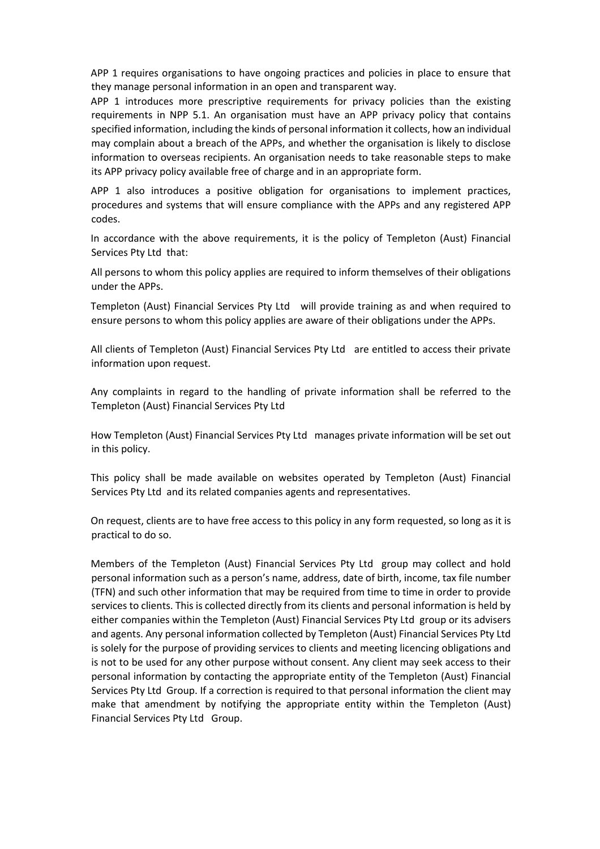APP 1 requires organisations to have ongoing practices and policies in place to ensure that they manage personal information in an open and transparent way.

APP 1 introduces more prescriptive requirements for privacy policies than the existing requirements in NPP 5.1. An organisation must have an APP privacy policy that contains specified information, including the kinds of personal information it collects, how an individual may complain about a breach of the APPs, and whether the organisation is likely to disclose information to overseas recipients. An organisation needs to take reasonable steps to make its APP privacy policy available free of charge and in an appropriate form.

APP 1 also introduces a positive obligation for organisations to implement practices, procedures and systems that will ensure compliance with the APPs and any registered APP codes.

In accordance with the above requirements, it is the policy of Templeton (Aust) Financial Services Pty Ltd that:

All persons to whom this policy applies are required to inform themselves of their obligations under the APPs.

Templeton (Aust) Financial Services Pty Ltd will provide training as and when required to ensure persons to whom this policy applies are aware of their obligations under the APPs.

All clients of Templeton (Aust) Financial Services Pty Ltd are entitled to access their private information upon request.

Any complaints in regard to the handling of private information shall be referred to the Templeton (Aust) Financial Services Pty Ltd

How Templeton (Aust) Financial Services Pty Ltd manages private information will be set out in this policy.

This policy shall be made available on websites operated by Templeton (Aust) Financial Services Pty Ltd and its related companies agents and representatives.

On request, clients are to have free access to this policy in any form requested, so long as it is practical to do so.

Members of the Templeton (Aust) Financial Services Pty Ltd group may collect and hold personal information such as a person's name, address, date of birth, income, tax file number (TFN) and such other information that may be required from time to time in order to provide services to clients. This is collected directly from its clients and personal information is held by either companies within the Templeton (Aust) Financial Services Pty Ltd group or its advisers and agents. Any personal information collected by Templeton (Aust) Financial Services Pty Ltd is solely for the purpose of providing services to clients and meeting licencing obligations and is not to be used for any other purpose without consent. Any client may seek access to their personal information by contacting the appropriate entity of the Templeton (Aust) Financial Services Pty Ltd Group. If a correction is required to that personal information the client may make that amendment by notifying the appropriate entity within the Templeton (Aust) Financial Services Pty Ltd Group.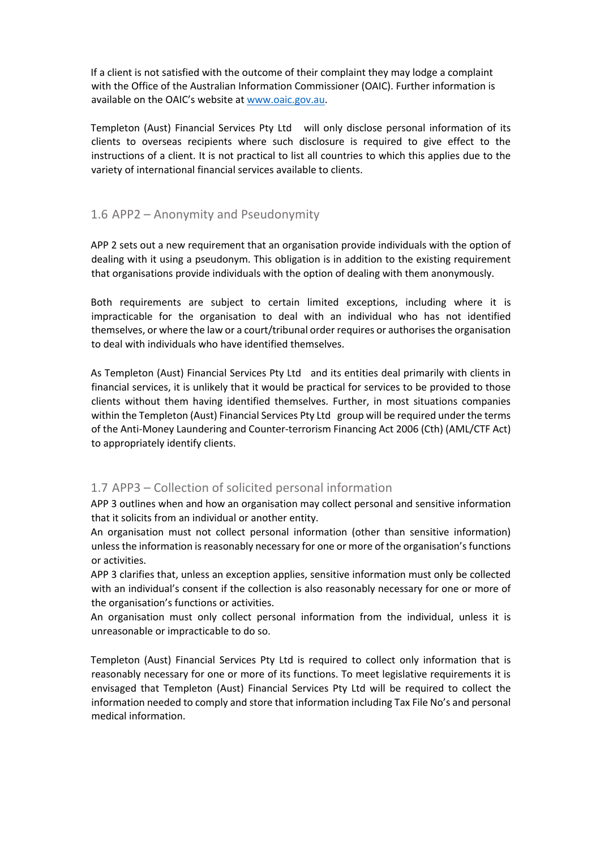If a client is not satisfied with the outcome of their complaint they may lodge a complaint with the Office of the Australian Information Commissioner (OAIC). Further information is available on the OAIC's website at www.oaic.gov.au.

Templeton (Aust) Financial Services Pty Ltd will only disclose personal information of its clients to overseas recipients where such disclosure is required to give effect to the instructions of a client. It is not practical to list all countries to which this applies due to the variety of international financial services available to clients.

# 1.6 APP2 – Anonymity and Pseudonymity

APP 2 sets out a new requirement that an organisation provide individuals with the option of dealing with it using a pseudonym. This obligation is in addition to the existing requirement that organisations provide individuals with the option of dealing with them anonymously.

Both requirements are subject to certain limited exceptions, including where it is impracticable for the organisation to deal with an individual who has not identified themselves, or where the law or a court/tribunal order requires or authorises the organisation to deal with individuals who have identified themselves.

As Templeton (Aust) Financial Services Pty Ltd and its entities deal primarily with clients in financial services, it is unlikely that it would be practical for services to be provided to those clients without them having identified themselves. Further, in most situations companies within the Templeton (Aust) Financial Services Pty Ltd group will be required under the terms of the Anti-Money Laundering and Counter-terrorism Financing Act 2006 (Cth) (AML/CTF Act) to appropriately identify clients.

# 1.7 APP3 – Collection of solicited personal information

APP 3 outlines when and how an organisation may collect personal and sensitive information that it solicits from an individual or another entity.

An organisation must not collect personal information (other than sensitive information) unless the information is reasonably necessary for one or more of the organisation's functions or activities.

APP 3 clarifies that, unless an exception applies, sensitive information must only be collected with an individual's consent if the collection is also reasonably necessary for one or more of the organisation's functions or activities.

An organisation must only collect personal information from the individual, unless it is unreasonable or impracticable to do so.

Templeton (Aust) Financial Services Pty Ltd is required to collect only information that is reasonably necessary for one or more of its functions. To meet legislative requirements it is envisaged that Templeton (Aust) Financial Services Pty Ltd will be required to collect the information needed to comply and store that information including Tax File No's and personal medical information.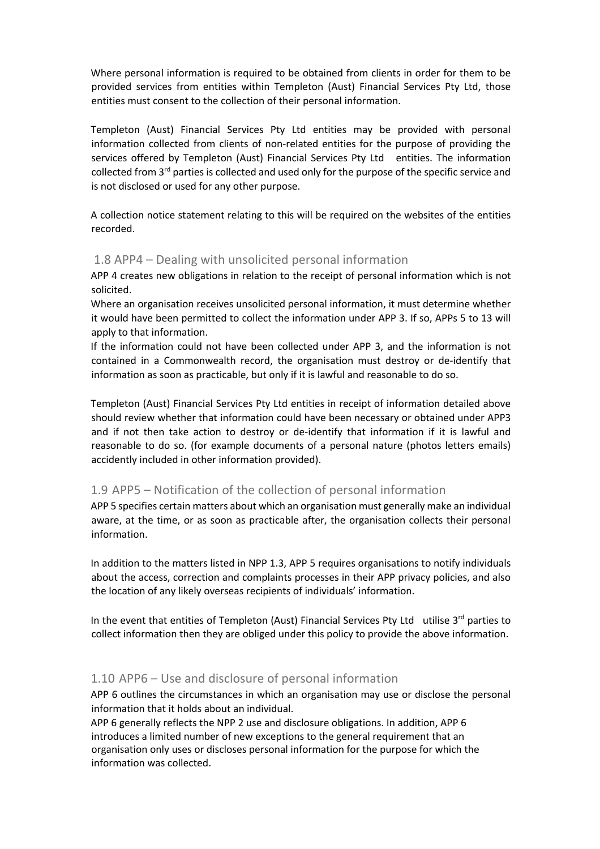Where personal information is required to be obtained from clients in order for them to be provided services from entities within Templeton (Aust) Financial Services Pty Ltd, those entities must consent to the collection of their personal information.

Templeton (Aust) Financial Services Pty Ltd entities may be provided with personal information collected from clients of non-related entities for the purpose of providing the services offered by Templeton (Aust) Financial Services Pty Ltd entities. The information collected from 3<sup>rd</sup> parties is collected and used only for the purpose of the specific service and is not disclosed or used for any other purpose.

A collection notice statement relating to this will be required on the websites of the entities recorded.

# 1.8 APP4 – Dealing with unsolicited personal information

APP 4 creates new obligations in relation to the receipt of personal information which is not solicited.

Where an organisation receives unsolicited personal information, it must determine whether it would have been permitted to collect the information under APP 3. If so, APPs 5 to 13 will apply to that information.

If the information could not have been collected under APP 3, and the information is not contained in a Commonwealth record, the organisation must destroy or de-identify that information as soon as practicable, but only if it is lawful and reasonable to do so.

Templeton (Aust) Financial Services Pty Ltd entities in receipt of information detailed above should review whether that information could have been necessary or obtained under APP3 and if not then take action to destroy or de-identify that information if it is lawful and reasonable to do so. (for example documents of a personal nature (photos letters emails) accidently included in other information provided).

# 1.9 APP5 – Notification of the collection of personal information

APP 5 specifies certain matters about which an organisation must generally make an individual aware, at the time, or as soon as practicable after, the organisation collects their personal information.

In addition to the matters listed in NPP 1.3, APP 5 requires organisations to notify individuals about the access, correction and complaints processes in their APP privacy policies, and also the location of any likely overseas recipients of individuals' information.

In the event that entities of Templeton (Aust) Financial Services Pty Ltd utilise  $3<sup>rd</sup>$  parties to collect information then they are obliged under this policy to provide the above information.

# 1.10 APP6 – Use and disclosure of personal information

APP 6 outlines the circumstances in which an organisation may use or disclose the personal information that it holds about an individual.

APP 6 generally reflects the NPP 2 use and disclosure obligations. In addition, APP 6 introduces a limited number of new exceptions to the general requirement that an organisation only uses or discloses personal information for the purpose for which the information was collected.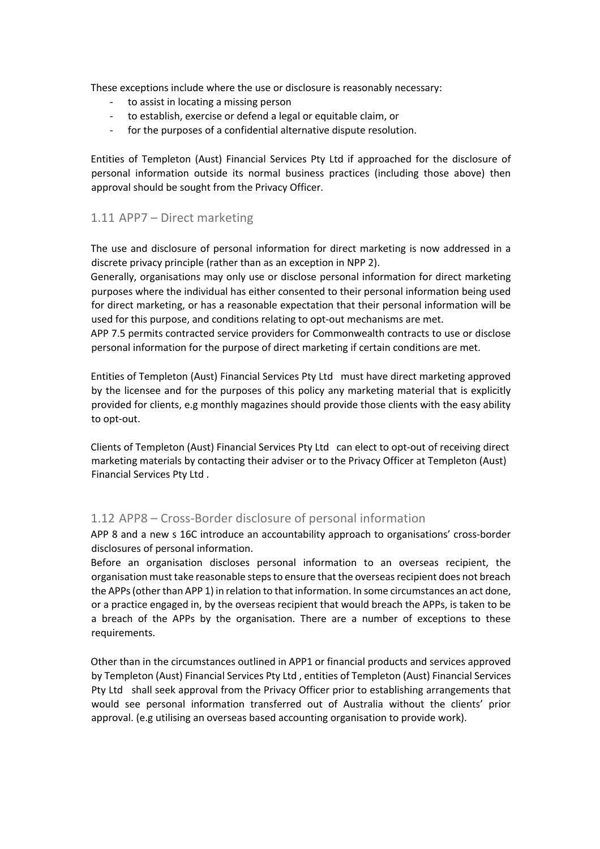These exceptions include where the use or disclosure is reasonably necessary:

- to assist in locating a missing person
- to establish, exercise or defend a legal or equitable claim, or
- for the purposes of a confidential alternative dispute resolution.

Entities of Templeton (Aust) Financial Services Pty Ltd if approached for the disclosure of personal information outside its normal business practices (including those above) then approval should be sought from the Privacy Officer.

#### 1.11 APP7 – Direct marketing

The use and disclosure of personal information for direct marketing is now addressed in a discrete privacy principle (rather than as an exception in NPP 2).

Generally, organisations may only use or disclose personal information for direct marketing purposes where the individual has either consented to their personal information being used for direct marketing, or has a reasonable expectation that their personal information will be used for this purpose, and conditions relating to opt-out mechanisms are met.

APP 7.5 permits contracted service providers for Commonwealth contracts to use or disclose personal information for the purpose of direct marketing if certain conditions are met.

Entities of Templeton (Aust) Financial Services Pty Ltd must have direct marketing approved by the licensee and for the purposes of this policy any marketing material that is explicitly provided for clients, e.g monthly magazines should provide those clients with the easy ability to opt-out.

Clients of Templeton (Aust) Financial Services Pty Ltd can elect to opt-out of receiving direct marketing materials by contacting their adviser or to the Privacy Officer at Templeton (Aust) Financial Services Pty Ltd .

# 1.12 APP8 – Cross-Border disclosure of personal information

APP 8 and a new s 16C introduce an accountability approach to organisations' cross-border disclosures of personal information.

Before an organisation discloses personal information to an overseas recipient, the organisation must take reasonable steps to ensure that the overseas recipient does not breach the APPs (other than APP 1) in relation to that information. In some circumstances an act done, or a practice engaged in, by the overseas recipient that would breach the APPs, is taken to be a breach of the APPs by the organisation. There are a number of exceptions to these requirements.

Other than in the circumstances outlined in APP1 or financial products and services approved by Templeton (Aust) Financial Services Pty Ltd , entities of Templeton (Aust) Financial Services Pty Ltd shall seek approval from the Privacy Officer prior to establishing arrangements that would see personal information transferred out of Australia without the clients' prior approval. (e.g utilising an overseas based accounting organisation to provide work).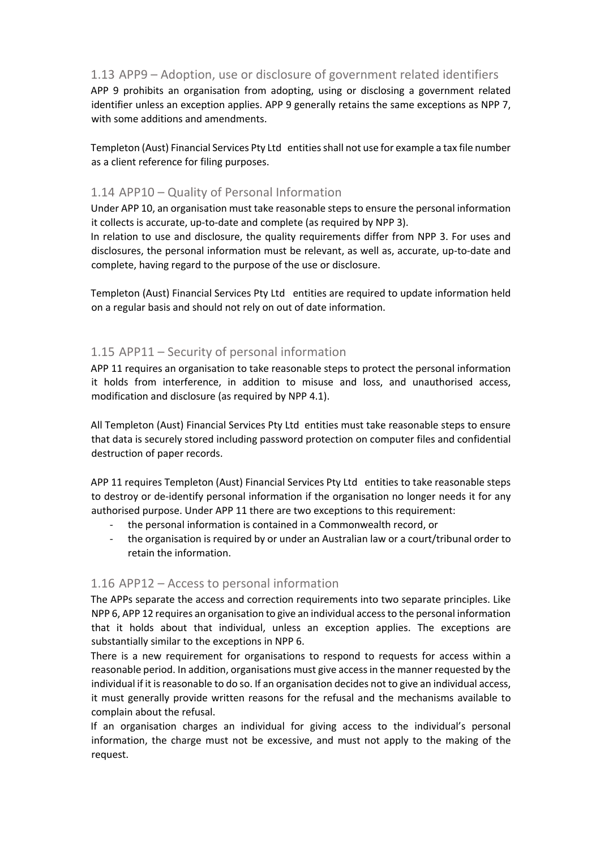# 1.13 APP9 – Adoption, use or disclosure of government related identifiers

APP 9 prohibits an organisation from adopting, using or disclosing a government related identifier unless an exception applies. APP 9 generally retains the same exceptions as NPP 7, with some additions and amendments.

Templeton (Aust) Financial Services Pty Ltd entities shall not use for example a tax file number as a client reference for filing purposes.

#### 1.14 APP10 – Quality of Personal Information

Under APP 10, an organisation must take reasonable steps to ensure the personal information it collects is accurate, up-to-date and complete (as required by NPP 3).

In relation to use and disclosure, the quality requirements differ from NPP 3. For uses and disclosures, the personal information must be relevant, as well as, accurate, up-to-date and complete, having regard to the purpose of the use or disclosure.

Templeton (Aust) Financial Services Pty Ltd entities are required to update information held on a regular basis and should not rely on out of date information.

#### 1.15 APP11 – Security of personal information

APP 11 requires an organisation to take reasonable steps to protect the personal information it holds from interference, in addition to misuse and loss, and unauthorised access, modification and disclosure (as required by NPP 4.1).

All Templeton (Aust) Financial Services Pty Ltd entities must take reasonable steps to ensure that data is securely stored including password protection on computer files and confidential destruction of paper records.

APP 11 requires Templeton (Aust) Financial Services Pty Ltd entities to take reasonable steps to destroy or de-identify personal information if the organisation no longer needs it for any authorised purpose. Under APP 11 there are two exceptions to this requirement:

- the personal information is contained in a Commonwealth record, or
- the organisation is required by or under an Australian law or a court/tribunal order to retain the information.

# 1.16 APP12 – Access to personal information

The APPs separate the access and correction requirements into two separate principles. Like NPP 6, APP 12 requires an organisation to give an individual access to the personal information that it holds about that individual, unless an exception applies. The exceptions are substantially similar to the exceptions in NPP 6.

There is a new requirement for organisations to respond to requests for access within a reasonable period. In addition, organisations must give access in the manner requested by the individual if it is reasonable to do so. If an organisation decides not to give an individual access, it must generally provide written reasons for the refusal and the mechanisms available to complain about the refusal.

If an organisation charges an individual for giving access to the individual's personal information, the charge must not be excessive, and must not apply to the making of the request.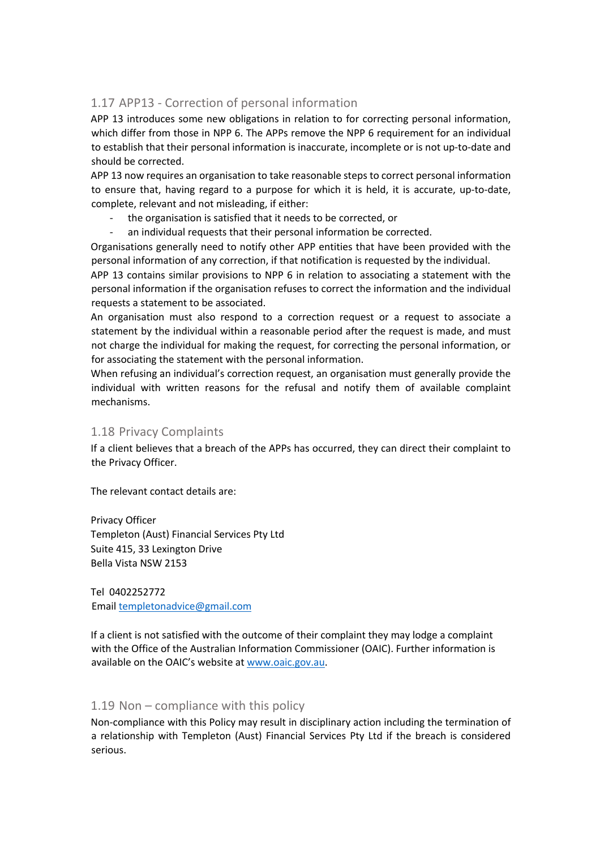# 1.17 APP13 - Correction of personal information

APP 13 introduces some new obligations in relation to for correcting personal information, which differ from those in NPP 6. The APPs remove the NPP 6 requirement for an individual to establish that their personal information is inaccurate, incomplete or is not up-to-date and should be corrected.

APP 13 now requires an organisation to take reasonable steps to correct personal information to ensure that, having regard to a purpose for which it is held, it is accurate, up-to-date, complete, relevant and not misleading, if either:

- the organisation is satisfied that it needs to be corrected, or
- an individual requests that their personal information be corrected.

Organisations generally need to notify other APP entities that have been provided with the personal information of any correction, if that notification is requested by the individual.

APP 13 contains similar provisions to NPP 6 in relation to associating a statement with the personal information if the organisation refuses to correct the information and the individual requests a statement to be associated.

An organisation must also respond to a correction request or a request to associate a statement by the individual within a reasonable period after the request is made, and must not charge the individual for making the request, for correcting the personal information, or for associating the statement with the personal information.

When refusing an individual's correction request, an organisation must generally provide the individual with written reasons for the refusal and notify them of available complaint mechanisms.

# 1.18 Privacy Complaints

If a client believes that a breach of the APPs has occurred, they can direct their complaint to the Privacy Officer.

The relevant contact details are:

Privacy Officer Templeton (Aust) Financial Services Pty Ltd Suite 415, 33 Lexington Drive Bella Vista NSW 2153

Tel 0402252772 Email templetonadvice@gmail.com

If a client is not satisfied with the outcome of their complaint they may lodge a complaint with the Office of the Australian Information Commissioner (OAIC). Further information is available on the OAIC's website at www.oaic.gov.au.

#### 1.19 Non – compliance with this policy

Non-compliance with this Policy may result in disciplinary action including the termination of a relationship with Templeton (Aust) Financial Services Pty Ltd if the breach is considered serious.